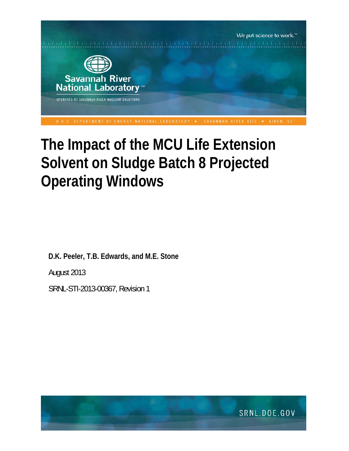

# **The Impact of the MCU Life Extension Solvent on Sludge Batch 8 Projected Operating Windows**

**D.K. Peeler, T.B. Edwards, and M.E. Stone** 

August 2013

SRNL-STI-2013-00367, Revision 1

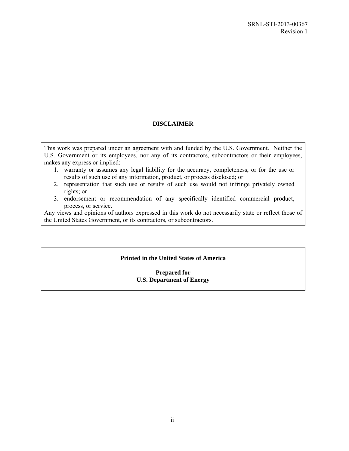# **DISCLAIMER**

This work was prepared under an agreement with and funded by the U.S. Government. Neither the U.S. Government or its employees, nor any of its contractors, subcontractors or their employees, makes any express or implied:

- 1. warranty or assumes any legal liability for the accuracy, completeness, or for the use or results of such use of any information, product, or process disclosed; or
- 2. representation that such use or results of such use would not infringe privately owned rights; or
- 3. endorsement or recommendation of any specifically identified commercial product, process, or service.

Any views and opinions of authors expressed in this work do not necessarily state or reflect those of the United States Government, or its contractors, or subcontractors.

## **Printed in the United States of America**

## **Prepared for U.S. Department of Energy**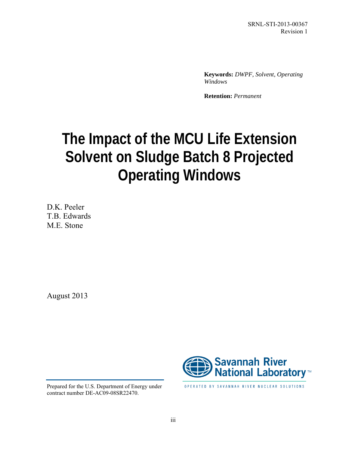SRNL-STI-2013-00367 Revision 1

**Keywords:** *DWPF, Solvent, Operating Windows*

**Retention:** *Permanent*

# **The Impact of the MCU Life Extension Solvent on Sludge Batch 8 Projected Operating Windows**

D.K. Peeler T.B. Edwards M.E. Stone

August 2013



Prepared for the U.S. Department of Energy under contract number DE-AC09-08SR22470.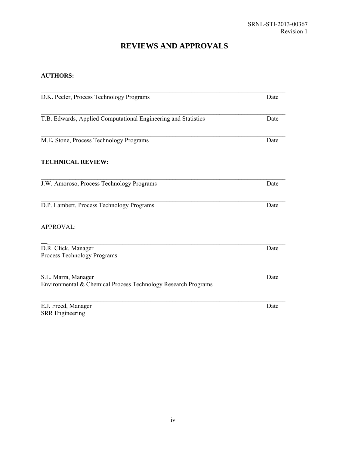# **REVIEWS AND APPROVALS**

# **AUTHORS:**

| D.K. Peeler, Process Technology Programs                                             | Date |
|--------------------------------------------------------------------------------------|------|
|                                                                                      |      |
| T.B. Edwards, Applied Computational Engineering and Statistics                       | Date |
| M.E. Stone, Process Technology Programs                                              | Date |
| <b>TECHNICAL REVIEW:</b>                                                             |      |
| J.W. Amoroso, Process Technology Programs                                            | Date |
| D.P. Lambert, Process Technology Programs                                            | Date |
| <b>APPROVAL:</b>                                                                     |      |
| D.R. Click, Manager<br>Process Technology Programs                                   | Date |
| S.L. Marra, Manager<br>Environmental & Chemical Process Technology Research Programs | Date |
| E.J. Freed, Manager<br><b>SRR</b> Engineering                                        | Date |

iv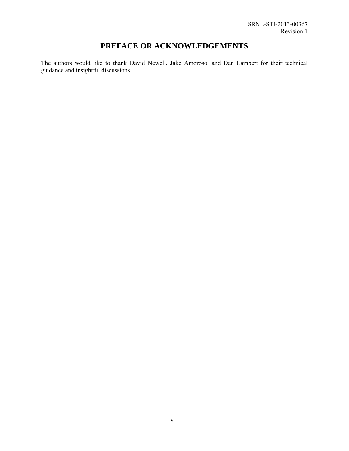# **PREFACE OR ACKNOWLEDGEMENTS**

The authors would like to thank David Newell, Jake Amoroso, and Dan Lambert for their technical guidance and insightful discussions.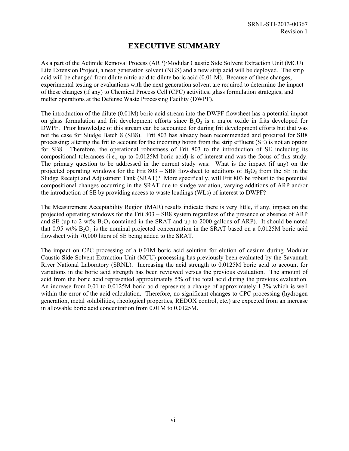# **EXECUTIVE SUMMARY**

As a part of the Actinide Removal Process (ARP)/Modular Caustic Side Solvent Extraction Unit (MCU) Life Extension Project, a next generation solvent (NGS) and a new strip acid will be deployed. The strip acid will be changed from dilute nitric acid to dilute boric acid (0.01 M). Because of these changes, experimental testing or evaluations with the next generation solvent are required to determine the impact of these changes (if any) to Chemical Process Cell (CPC) activities, glass formulation strategies, and melter operations at the Defense Waste Processing Facility (DWPF).

The introduction of the dilute (0.01M) boric acid stream into the DWPF flowsheet has a potential impact on glass formulation and frit development efforts since  $B_2O_3$  is a major oxide in frits developed for DWPF. Prior knowledge of this stream can be accounted for during frit development efforts but that was not the case for Sludge Batch 8 (SB8). Frit 803 has already been recommended and procured for SB8 processing; altering the frit to account for the incoming boron from the strip effluent (SE) is not an option for SB8. Therefore, the operational robustness of Frit 803 to the introduction of SE including its compositional tolerances (i.e., up to 0.0125M boric acid) is of interest and was the focus of this study. The primary question to be addressed in the current study was: What is the impact (if any) on the projected operating windows for the Frit 803 – SB8 flowsheet to additions of  $B_2O_3$  from the SE in the Sludge Receipt and Adjustment Tank (SRAT)? More specifically, will Frit 803 be robust to the potential compositional changes occurring in the SRAT due to sludge variation, varying additions of ARP and/or the introduction of SE by providing access to waste loadings (WLs) of interest to DWPF?

The Measurement Acceptability Region (MAR) results indicate there is very little, if any, impact on the projected operating windows for the Frit 803 – SB8 system regardless of the presence or absence of ARP and SE (up to 2 wt%  $B_2O_3$  contained in the SRAT and up to 2000 gallons of ARP). It should be noted that 0.95 wt%  $B_2O_3$  is the nominal projected concentration in the SRAT based on a 0.0125M boric acid flowsheet with 70,000 liters of SE being added to the SRAT.

The impact on CPC processing of a 0.01M boric acid solution for elution of cesium during Modular Caustic Side Solvent Extraction Unit (MCU) processing has previously been evaluated by the Savannah River National Laboratory (SRNL). Increasing the acid strength to 0.0125M boric acid to account for variations in the boric acid strength has been reviewed versus the previous evaluation. The amount of acid from the boric acid represented approximately 5% of the total acid during the previous evaluation. An increase from 0.01 to 0.0125M boric acid represents a change of approximately 1.3% which is well within the error of the acid calculation. Therefore, no significant changes to CPC processing (hydrogen generation, metal solubilities, rheological properties, REDOX control, etc.) are expected from an increase in allowable boric acid concentration from 0.01M to 0.0125M.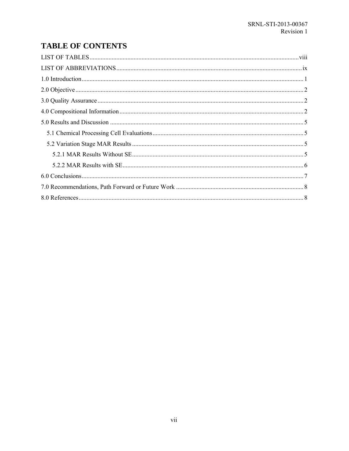# **TABLE OF CONTENTS**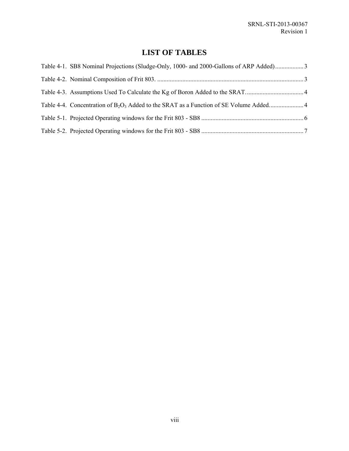# **LIST OF TABLES**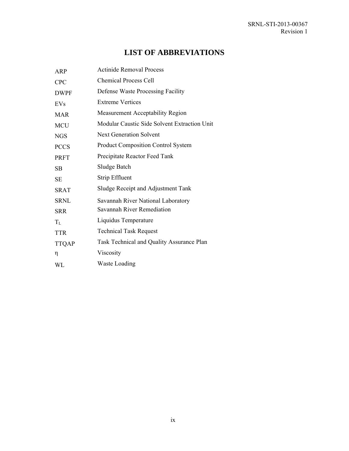# **LIST OF ABBREVIATIONS**

| <b>ARP</b>   | <b>Actinide Removal Process</b>              |
|--------------|----------------------------------------------|
| <b>CPC</b>   | <b>Chemical Process Cell</b>                 |
| <b>DWPF</b>  | Defense Waste Processing Facility            |
| EVs          | <b>Extreme Vertices</b>                      |
| <b>MAR</b>   | Measurement Acceptability Region             |
| <b>MCU</b>   | Modular Caustic Side Solvent Extraction Unit |
| <b>NGS</b>   | <b>Next Generation Solvent</b>               |
| <b>PCCS</b>  | <b>Product Composition Control System</b>    |
| PRFT         | Precipitate Reactor Feed Tank                |
| <b>SB</b>    | Sludge Batch                                 |
| <b>SE</b>    | Strip Effluent                               |
| <b>SRAT</b>  | Sludge Receipt and Adjustment Tank           |
| <b>SRNL</b>  | Savannah River National Laboratory           |
| <b>SRR</b>   | Savannah River Remediation                   |
| $T_{L}$      | Liquidus Temperature                         |
| <b>TTR</b>   | <b>Technical Task Request</b>                |
| <b>TTQAP</b> | Task Technical and Quality Assurance Plan    |
| η            | Viscosity                                    |
| WL           | <b>Waste Loading</b>                         |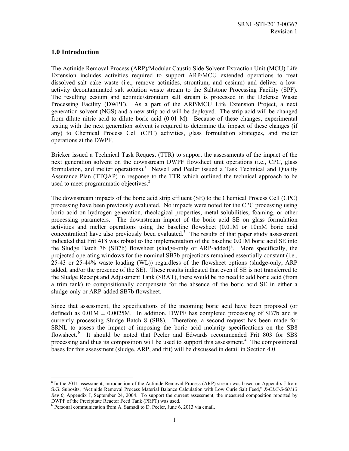#### **1.0 Introduction**

The Actinide Removal Process (ARP)/Modular Caustic Side Solvent Extraction Unit (MCU) Life Extension includes activities required to support ARP/MCU extended operations to treat dissolved salt cake waste (i.e., remove actinides, strontium, and cesium) and deliver a lowactivity decontaminated salt solution waste stream to the Saltstone Processing Facility (SPF). The resulting cesium and actinide/strontium salt stream is processed in the Defense Waste Processing Facility (DWPF). As a part of the ARP/MCU Life Extension Project, a next generation solvent (NGS) and a new strip acid will be deployed. The strip acid will be changed from dilute nitric acid to dilute boric acid (0.01 M). Because of these changes, experimental testing with the next generation solvent is required to determine the impact of these changes (if any) to Chemical Process Cell (CPC) activities, glass formulation strategies, and melter operations at the DWPF.

Bricker issued a Technical Task Request (TTR) to support the assessments of the impact of the next generation solvent on the downstream DWPF flowsheet unit operations (i.e., CPC, glass formulation, and melter operations).<sup>1</sup> Newell and Peeler issued a Task Technical and Quality Assurance Plan (TTQAP) in response to the TTR which outlined the technical approach to be used to meet programmatic objectives.<sup>2</sup>

The downstream impacts of the boric acid strip effluent (SE) to the Chemical Process Cell (CPC) processing have been previously evaluated. No impacts were noted for the CPC processing using boric acid on hydrogen generation, rheological properties, metal solubilities, foaming, or other processing parameters. The downstream impact of the boric acid SE on glass formulation activities and melter operations using the baseline flowsheet (0.01M or 10mM boric acid concentration) have also previously been evaluated.<sup>3</sup> The results of that paper study assessment indicated that Frit 418 was robust to the implementation of the baseline 0.01M boric acid SE into the Sludge Batch 7b (SB7b) flowsheet (sludge-only or ARP-added)<sup>a</sup>. More specifically, the projected operating windows for the nominal SB7b projections remained essentially constant (i.e., 25-43 or 25-44% waste loading (WL)) regardless of the flowsheet options (sludge-only, ARP added, and/or the presence of the SE). These results indicated that even if SE is not transferred to the Sludge Receipt and Adjustment Tank (SRAT), there would be no need to add boric acid (from a trim tank) to compositionally compensate for the absence of the boric acid SE in either a sludge-only or ARP-added SB7b flowsheet.

Since that assessment, the specifications of the incoming boric acid have been proposed (or defined) as  $0.01M \pm 0.0025M$ . In addition, DWPF has completed processing of SB7b and is currently processing Sludge Batch 8 (SB8). Therefore, a second request has been made for SRNL to assess the impact of imposing the boric acid molarity specifications on the SB8 flowsheet.<sup>b</sup> It should be noted that Peeler and Edwards recommended Frit 803 for SB8 processing and thus its composition will be used to support this assessment.<sup>4</sup> The compositional bases for this assessment (sludge, ARP, and frit) will be discussed in detail in Section 4.0.

<sup>-</sup><sup>a</sup> In the 2011 assessment, introduction of the Actinide Removal Process (ARP) stream was based on Appendix J from S.G. Subosits, "Actinide Removal Process Material Balance Calculation with Low Curie Salt Feed," *X-CLC-S-00113 Rev 0,* Appendix J, September 24, 2004. To support the current assessment, the measured composition reported by DWPF of the Precipitate Reactor Feed Tank (PRFT) was used. b

<sup>&</sup>lt;sup>b</sup> Personal communication from A. Samadi to D. Peeler, June 6, 2013 via email.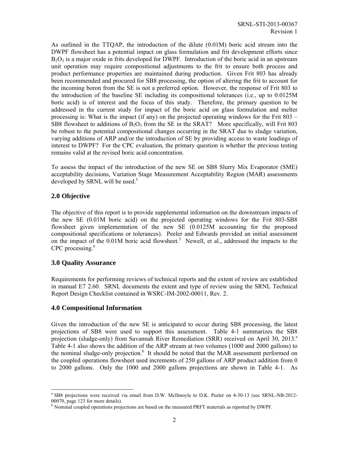As outlined in the TTQAP, the introduction of the dilute (0.01M) boric acid stream into the DWPF flowsheet has a potential impact on glass formulation and frit development efforts since  $B_2O_3$  is a major oxide in frits developed for DWPF. Introduction of the boric acid in an upstream unit operation may require compositional adjustments to the frit to ensure both process and product performance properties are maintained during production. Given Frit 803 has already been recommended and procured for SB8 processing, the option of altering the frit to account for the incoming boron from the SE is not a preferred option. However, the response of Frit 803 to the introduction of the baseline SE including its compositional tolerances (i.e., up to 0.0125M boric acid) is of interest and the focus of this study. Therefore, the primary question to be addressed in the current study for impact of the boric acid on glass formulation and melter processing is: What is the impact (if any) on the projected operating windows for the Frit 803 – SB8 flowsheet to additions of  $B_2O_3$  from the SE in the SRAT? More specifically, will Frit 803 be robust to the potential compositional changes occurring in the SRAT due to sludge variation, varying additions of ARP and/or the introduction of SE by providing access to waste loadings of interest to DWPF? For the CPC evaluation, the primary question is whether the previous testing remains valid at the revised boric acid concentration.

To assess the impact of the introduction of the new SE on SB8 Slurry Mix Evaporator (SME) acceptability decisions, Variation Stage Measurement Acceptability Region (MAR) assessments developed by SRNL will be used.<sup>5</sup>

## **2.0 Objective**

The objective of this report is to provide supplemental information on the downstream impacts of the new SE (0.01M boric acid) on the projected operating windows for the Frit 803-SB8 flowsheet given implementation of the new SE (0.0125M accounting for the proposed compositional specifications or tolerances). Peeler and Edwards provided an initial assessment on the impact of the 0.01M boric acid flowsheet.<sup>3</sup> Newell, et al., addressed the impacts to the CPC processing.<sup>6</sup>

## **3.0 Quality Assurance**

-

Requirements for performing reviews of technical reports and the extent of review are established in manual E7 2.60. SRNL documents the extent and type of review using the SRNL Technical Report Design Checklist contained in WSRC-IM-2002-00011, Rev. 2.

## **4.0 Compositional Information**

Given the introduction of the new SE is anticipated to occur during SB8 processing, the latest projections of SB8 were used to support this assessment. Table 4-1 summarizes the SB8 projection (sludge-only) from Savannah River Remediation (SRR) received on April 30, 2013.<sup>a</sup> Table 4-1 also shows the addition of the ARP stream at two volumes (1000 and 2000 gallons) to the nominal sludge-only projection.<sup>b</sup> It should be noted that the MAR assessment performed on the coupled operations flowsheet used increments of 250 gallons of ARP product addition from 0 to 2000 gallons. Only the 1000 and 2000 gallons projections are shown in Table 4-1. As

<sup>&</sup>lt;sup>a</sup> SB8 projections were received via email from D.W. McIlmoyle to D.K. Peeler on 4-30-13 (see SRNL-NB-2012-00070, page 123 for more details).

<sup>&</sup>lt;sup>b</sup> Nominal coupled operations projections are based on the measured PRFT materials as reported by DWPF.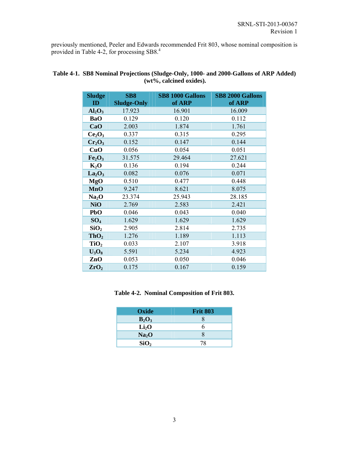previously mentioned, Peeler and Edwards recommended Frit 803, whose nominal composition is provided in Table 4-2, for processing SB8.<sup>4</sup>

| <b>Sludge</b><br>ID            | <b>SB8</b><br><b>Sludge-Only</b> | <b>SB8 1000 Gallons</b><br>of ARP | <b>SB8 2000 Gallons</b><br>of ARP |
|--------------------------------|----------------------------------|-----------------------------------|-----------------------------------|
| Al <sub>2</sub> O <sub>3</sub> | 17.923                           | 16.901                            | 16.009                            |
| <b>BaO</b>                     | 0.129                            | 0.120                             | 0.112                             |
| CaO                            | 2.003                            | 1.874                             | 1.761                             |
| Ce <sub>2</sub> O <sub>3</sub> | 0.337                            | 0.315                             | 0.295                             |
| $Cr_2O_3$                      | 0.152                            | 0.147                             | 0.144                             |
| CuO                            | 0.056                            | 0.054                             | 0.051                             |
| Fe <sub>2</sub> O <sub>3</sub> | 31.575                           | 29.464                            | 27.621                            |
| $K_2O$                         | 0.136                            | 0.194                             | 0.244                             |
| La <sub>2</sub> O <sub>3</sub> | 0.082                            | 0.076                             | 0.071                             |
| MgO                            | 0.510                            | 0.477                             | 0.448                             |
| <b>MnO</b>                     | 9.247                            | 8.621                             | 8.075                             |
| Na <sub>2</sub> O              | 23.374                           | 25.943                            | 28.185                            |
| <b>NiO</b>                     | 2.769                            | 2.583                             | 2.421                             |
| PbO                            | 0.046                            | 0.043                             | 0.040                             |
| SO <sub>4</sub>                | 1.629                            | 1.629                             | 1.629                             |
| SiO <sub>2</sub>               | 2.905                            | 2.814                             | 2.735                             |
| ThO <sub>2</sub>               | 1.276                            | 1.189                             | 1.113                             |
| TiO <sub>2</sub>               | 0.033                            | 2.107                             | 3.918                             |
| $U_3O_8$                       | 5.591                            | 5.234                             | 4.923                             |
| ZnO                            | 0.053                            | 0.050                             | 0.046                             |
| ZrO <sub>2</sub>               | 0.175                            | 0.167                             | 0.159                             |

## **Table 4-1. SB8 Nominal Projections (Sludge-Only, 1000- and 2000-Gallons of ARP Added) (wt%, calcined oxides).**

**Table 4-2. Nominal Composition of Frit 803.** 

| Oxide             | <b>Frit 803</b> |
|-------------------|-----------------|
| $B_2O_3$          | X               |
| Li <sub>2</sub> O | h               |
| Na <sub>2</sub> O | X               |
| SiO <sub>2</sub>  | 78              |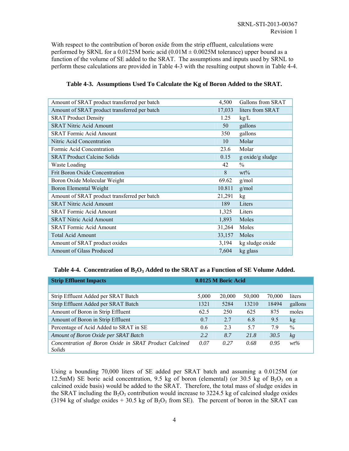With respect to the contribution of boron oxide from the strip effluent, calculations were performed by SRNL for a 0.0125M boric acid  $(0.01M \pm 0.0025M$  tolerance) upper bound as a function of the volume of SE added to the SRAT. The assumptions and inputs used by SRNL to perform these calculations are provided in Table 4-3 with the resulting output shown in Table 4-4.

| Amount of SRAT product transferred per batch | 4,500  | Gallons from SRAT |
|----------------------------------------------|--------|-------------------|
| Amount of SRAT product transferred per batch | 17,033 | liters from SRAT  |
| <b>SRAT Product Density</b>                  | 1.25   | kg/L              |
| <b>SRAT Nitric Acid Amount</b>               | 50     | gallons           |
| <b>SRAT Formic Acid Amount</b>               | 350    | gallons           |
| Nitric Acid Concentration                    | 10     | Molar             |
| Formic Acid Concentration                    | 23.6   | Molar             |
| <b>SRAT Product Calcine Solids</b>           | 0.15   | g oxide/g sludge  |
| Waste Loading                                | 42     | $\frac{0}{0}$     |
| <b>Frit Boron Oxide Concentration</b>        | 8      | $wt\%$            |
| Boron Oxide Molecular Weight                 | 69.62  | g/mol             |
| Boron Elemental Weight                       | 10.811 | g/mol             |
| Amount of SRAT product transferred per batch | 21,291 | kg                |
| <b>SRAT Nitric Acid Amount</b>               | 189    | Liters            |
| <b>SRAT Formic Acid Amount</b>               | 1,325  | Liters            |
| <b>SRAT Nitric Acid Amount</b>               | 1,893  | Moles             |
| <b>SRAT Formic Acid Amount</b>               | 31,264 | Moles             |
| <b>Total Acid Amount</b>                     | 33,157 | Moles             |
| Amount of SRAT product oxides                | 3,194  | kg sludge oxide   |
| <b>Amount of Glass Produced</b>              | 7,604  | kg glass          |

| Table 4-3. Assumptions Used To Calculate the Kg of Boron Added to the SRAT. |  |  |  |  |  |  |  |  |  |  |  |  |  |
|-----------------------------------------------------------------------------|--|--|--|--|--|--|--|--|--|--|--|--|--|
|-----------------------------------------------------------------------------|--|--|--|--|--|--|--|--|--|--|--|--|--|

#### Table 4-4. Concentration of B<sub>2</sub>O<sub>3</sub> Added to the SRAT as a Function of SE Volume Added.

| <b>Strip Effluent Impacts</b>                         |       | 0.0125 M Boric Acid |        |        |         |
|-------------------------------------------------------|-------|---------------------|--------|--------|---------|
|                                                       |       |                     |        |        |         |
| Strip Effluent Added per SRAT Batch                   | 5,000 | 20,000              | 50,000 | 70,000 | liters  |
| Strip Effluent Added per SRAT Batch                   | 1321  | 5284                | 13210  | 18494  | gallons |
| Amount of Boron in Strip Effluent                     | 62.5  | 250                 | 625    | 875    | moles   |
| Amount of Boron in Strip Effluent                     | 0.7   | 2.7                 | 6.8    | 9.5    | kg      |
| Percentage of Acid Added to SRAT in SE                | 0.6   | 2.3                 | 57     | 7.9    | $\%$    |
| Amount of Boron Oxide per SRAT Batch                  | 2.2   | 8.7                 | 21.8   | 30.5   | kg      |
| Concentration of Boron Oxide in SRAT Product Calcined | 0.07  | 0.27                | 0.68   | 0.95   | $wt\%$  |
| Solids                                                |       |                     |        |        |         |

Using a bounding 70,000 liters of SE added per SRAT batch and assuming a 0.0125M (or 12.5mM) SE boric acid concentration, 9.5 kg of boron (elemental) (or 30.5 kg of  $B_2O_3$  on a calcined oxide basis) would be added to the SRAT. Therefore, the total mass of sludge oxides in the SRAT including the  $B_2O_3$  contribution would increase to 3224.5 kg of calcined sludge oxides (3194 kg of sludge oxides  $+30.5$  kg of  $B_2O_3$  from SE). The percent of boron in the SRAT can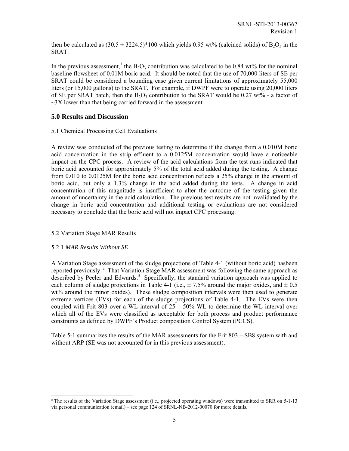then be calculated as  $(30.5 \div 3224.5)^*100$  which yields 0.95 wt% (calcined solids) of B<sub>2</sub>O<sub>3</sub> in the SRAT.

In the previous assessment,<sup>3</sup> the  $B_2O_3$  contribution was calculated to be 0.84 wt% for the nominal baseline flowsheet of 0.01M boric acid. It should be noted that the use of 70,000 liters of SE per SRAT could be considered a bounding case given current limitations of approximately 55,000 liters (or 15,000 gallons) to the SRAT. For example, if DWPF were to operate using 20,000 liters of SE per SRAT batch, then the  $B_2O_3$  contribution to the SRAT would be 0.27 wt% - a factor of  $\sim$ 3X lower than that being carried forward in the assessment.

#### **5.0 Results and Discussion**

#### 5.1 Chemical Processing Cell Evaluations

A review was conducted of the previous testing to determine if the change from a 0.010M boric acid concentration in the strip effluent to a 0.0125M concentration would have a noticeable impact on the CPC process. A review of the acid calculations from the test runs indicated that boric acid accounted for approximately 5% of the total acid added during the testing. A change from 0.010 to 0.0125M for the boric acid concentration reflects a 25% change in the amount of boric acid, but only a 1.3% change in the acid added during the tests. A change in acid concentration of this magnitude is insufficient to alter the outcome of the testing given the amount of uncertainty in the acid calculation. The previous test results are not invalidated by the change in boric acid concentration and additional testing or evaluations are not considered necessary to conclude that the boric acid will not impact CPC processing.

#### 5.2 Variation Stage MAR Results

#### 5.2.1 *MAR Results Without SE*

1

A Variation Stage assessment of the sludge projections of Table 4-1 (without boric acid) hasbeen reported previously.<sup>ª</sup> That Variation Stage MAR assessment was following the same approach as described by Peeler and Edwards.<sup>5</sup> Specifically, the standard variation approach was applied to each column of sludge projections in Table 4-1 (i.e.,  $\pm$  7.5% around the major oxides, and  $\pm$  0.5 wt% around the minor oxides). These sludge composition intervals were then used to generate extreme vertices (EVs) for each of the sludge projections of Table 4-1. The EVs were then coupled with Frit 803 over a WL interval of  $25 - 50\%$  WL to determine the WL interval over which all of the EVs were classified as acceptable for both process and product performance constraints as defined by DWPF's Product composition Control System (PCCS).

Table 5-1 summarizes the results of the MAR assessments for the Frit 803 – SB8 system with and without ARP (SE was not accounted for in this previous assessment).

<sup>&</sup>lt;sup>a</sup> The results of the Variation Stage assessment (i.e., projected operating windows) were transmitted to SRR on 5-1-13 via personal communication (email) – see page 124 of SRNL-NB-2012-00070 for more details.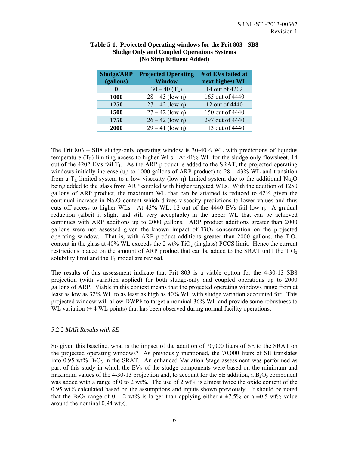| <b>Sludge/ARP</b><br>(gallons) | <b>Projected Operating</b><br><b>Window</b> | # of EVs failed at<br>next highest WL |
|--------------------------------|---------------------------------------------|---------------------------------------|
| 0                              | $30 - 40$ (T <sub>L</sub> )                 | 14 out of 4202                        |
| <b>1000</b>                    | $28 - 43$ (low $\eta$ )                     | 165 out of 4440                       |
| 1250                           | $27 - 42$ (low $\eta$ )                     | 12 out of 4440                        |
| 1500                           | $27 - 42$ (low $\eta$ )                     | 150 out of 4440                       |
| 1750                           | $26 - 42$ (low $\eta$ )                     | 297 out of 4440                       |
| 2000                           | $29 - 41$ (low n)                           | 113 out of 4440                       |

#### **Table 5-1. Projected Operating windows for the Frit 803 - SB8 Sludge Only and Coupled Operations Systems (No Strip Effluent Added)**

The Frit 803 – SB8 sludge-only operating window is 30-40% WL with predictions of liquidus temperature  $(T_L)$  limiting access to higher WLs. At 41% WL for the sludge-only flowsheet, 14 out of the 4202 EVs fail  $T_{\text{L}}$ . As the ARP product is added to the SRAT, the projected operating windows initially increase (up to 1000 gallons of ARP product) to  $28 - 43\%$  WL and transition from a  $T_L$  limited system to a low viscosity (low η) limited system due to the additional Na<sub>2</sub>O being added to the glass from ARP coupled with higher targeted WLs. With the addition of 1250 gallons of ARP product, the maximum WL that can be attained is reduced to 42% given the continual increase in  $Na<sub>2</sub>O$  content which drives viscosity predictions to lower values and thus cuts off access to higher WLs. At 43% WL, 12 out of the 4440 EVs fail low η. A gradual reduction (albeit it slight and still very acceptable) in the upper WL that can be achieved continues with ARP additions up to 2000 gallons. ARP product additions greater than 2000 gallons were not assessed given the known impact of  $TiO<sub>2</sub>$  concentration on the projected operating window. That is, with ARP product additions greater than 2000 gallons, the  $TiO<sub>2</sub>$ content in the glass at 40% WL exceeds the 2 wt%  $TiO<sub>2</sub>$  (in glass) PCCS limit. Hence the current restrictions placed on the amount of ARP product that can be added to the SRAT until the  $TiO<sub>2</sub>$ solubility limit and the  $T<sub>L</sub>$  model are revised.

The results of this assessment indicate that Frit 803 is a viable option for the 4-30-13 SB8 projection (with variation applied) for both sludge-only and coupled operations up to 2000 gallons of ARP. Viable in this context means that the projected operating windows range from at least as low as 32% WL to as least as high as 40% WL with sludge variation accounted for. This projected window will allow DWPF to target a nominal 36% WL and provide some robustness to WL variation  $(\pm 4$  WL points) that has been observed during normal facility operations.

#### 5.2.2 *MAR Results with SE*

So given this baseline, what is the impact of the addition of 70,000 liters of SE to the SRAT on the projected operating windows? As previously mentioned, the 70,000 liters of SE translates into 0.95 wt% B2O3 in the SRAT. An enhanced Variation Stage assessment was performed as part of this study in which the EVs of the sludge components were based on the minimum and maximum values of the 4-30-13 projection and, to account for the SE addition, a  $B_2O_3$  component was added with a range of 0 to 2 wt%. The use of 2 wt% is almost twice the oxide content of the 0.95 wt% calculated based on the assumptions and inputs shown previously. It should be noted that the B<sub>2</sub>O<sub>3</sub> range of  $0 - 2$  wt% is larger than applying either a  $\pm$ 7.5% or a  $\pm$ 0.5 wt% value around the nominal 0.94 wt%.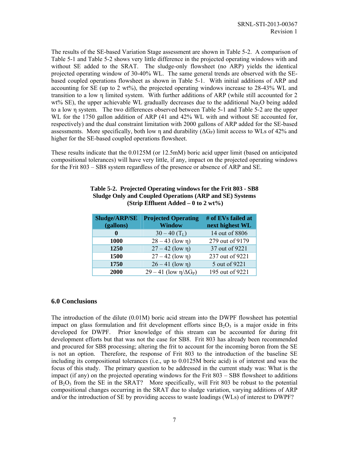The results of the SE-based Variation Stage assessment are shown in Table 5-2. A comparison of Table 5-1 and Table 5-2 shows very little difference in the projected operating windows with and without SE added to the SRAT. The sludge-only flowsheet (no ARP) yields the identical projected operating window of 30-40% WL. The same general trends are observed with the SEbased coupled operations flowsheet as shown in Table 5-1. With initial additions of ARP and accounting for SE (up to 2 wt%), the projected operating windows increase to 28-43% WL and transition to a low η limited system. With further additions of ARP (while still accounted for 2 wt% SE), the upper achievable WL gradually decreases due to the additional Na<sub>2</sub>O being added to a low η system. The two differences observed between Table 5-1 and Table 5-2 are the upper WL for the 1750 gallon addition of ARP (41 and 42% WL with and without SE accounted for, respectively) and the dual constraint limitation with 2000 gallons of ARP added for the SE-based assessments. More specifically, both low η and durability  $(\Delta G_P)$  limit access to WLs of 42% and higher for the SE-based coupled operations flowsheet.

These results indicate that the 0.0125M (or 12.5mM) boric acid upper limit (based on anticipated compositional tolerances) will have very little, if any, impact on the projected operating windows for the Frit 803 – SB8 system regardless of the presence or absence of ARP and SE.

| Sludge/ARP/SE<br>(gallons) | <b>Projected Operating</b><br><b>Window</b> | # of EVs failed at<br>next highest WL |
|----------------------------|---------------------------------------------|---------------------------------------|
| $\mathbf 0$                | $30 - 40$ (T <sub>L</sub> )                 | 14 out of 8806                        |
| 1000                       | $28 - 43$ (low $\eta$ )                     | 279 out of 9179                       |
| 1250                       | $27 - 42$ (low $\eta$ )                     | 37 out of 9221                        |
| 1500                       | $27 - 42$ (low $\eta$ )                     | 237 out of 9221                       |
| 1750                       | $26 - 41$ (low $\eta$ )                     | 5 out of 9221                         |
| 2000                       | $29-41$ (low $\eta/\Delta G_P$ )            | 195 out of 9221                       |

#### **Table 5-2. Projected Operating windows for the Frit 803 - SB8 Sludge Only and Coupled Operations (ARP and SE) Systems (Strip Effluent Added – 0 to 2 wt%)**

#### **6.0 Conclusions**

The introduction of the dilute (0.01M) boric acid stream into the DWPF flowsheet has potential impact on glass formulation and frit development efforts since  $B_2O_3$  is a major oxide in frits developed for DWPF. Prior knowledge of this stream can be accounted for during frit development efforts but that was not the case for SB8. Frit 803 has already been recommended and procured for SB8 processing; altering the frit to account for the incoming boron from the SE is not an option. Therefore, the response of Frit 803 to the introduction of the baseline SE including its compositional tolerances (i.e., up to 0.0125M boric acid) is of interest and was the focus of this study. The primary question to be addressed in the current study was: What is the impact (if any) on the projected operating windows for the Frit 803 – SB8 flowsheet to additions of  $B_2O_3$  from the SE in the SRAT? More specifically, will Frit 803 be robust to the potential compositional changes occurring in the SRAT due to sludge variation, varying additions of ARP and/or the introduction of SE by providing access to waste loadings (WLs) of interest to DWPF?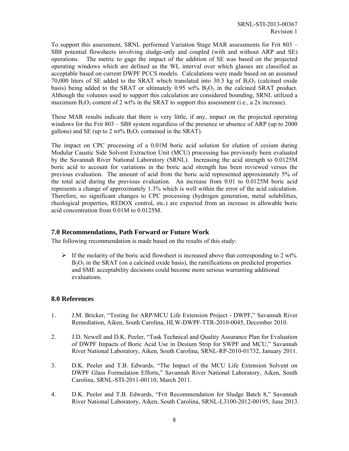To support this assessment, SRNL performed Variation Stage MAR assessments for Frit 803 – SB8 potential flowsheets involving sludge-only and coupled (with and without ARP and SE) operations. The metric to gage the impact of the addition of SE was based on the projected operating windows which are defined as the WL interval over which glasses are classified as acceptable based on current DWPF PCCS models. Calculations were made based on an assumed 70,000 liters of SE added to the SRAT which translated into 30.5 kg of  $B_2O_3$  (calcined oxide basis) being added to the SRAT or ultimately  $0.95 \text{ wt\% B}_2O_3$  in the calcined SRAT product. Although the volumes used to support this calculation are considered bounding, SRNL utilized a maximum  $B_2O_3$  content of 2 wt% in the SRAT to support this assessment (i.e., a 2x increase).

These MAR results indicate that there is very little, if any, impact on the projected operating windows for the Frit 803 – SB8 system regardless of the presence or absence of ARP (up to 2000 gallons) and SE (up to 2 wt%  $B_2O_3$  contained in the SRAT).

The impact on CPC processing of a 0.01M boric acid solution for elution of cesium during Modular Caustic Side Solvent Extraction Unit (MCU) processing has previously been evaluated by the Savannah River National Laboratory (SRNL). Increasing the acid strength to 0.0125M boric acid to account for variations in the boric acid strength has been reviewed versus the previous evaluation. The amount of acid from the boric acid represented approximately 5% of the total acid during the previous evaluation. An increase from 0.01 to 0.0125M boric acid represents a change of approximately 1.3% which is well within the error of the acid calculation. Therefore, no significant changes to CPC processing (hydrogen generation, metal solubilities, rheological properties, REDOX control, etc.) are expected from an increase in allowable boric acid concentration from 0.01M to 0.0125M.

## **7.0 Recommendations, Path Forward or Future Work**

The following recommendation is made based on the results of this study:

 $\triangleright$  If the molarity of the boric acid flowsheet is increased above that corresponding to 2 wt%  $B_2O_3$  in the SRAT (on a calcined oxide basis), the ramifications on predicted properties and SME acceptability decisions could become more serious warranting additional evaluations.

#### **8.0 References**

- 1. J.M. Bricker, "Testing for ARP/MCU Life Extension Project DWPF," Savannah River Remediation, Aiken, South Carolina, HLW-DWPF-TTR-2010-0045, December 2010.
- 2. J.D. Newell and D.K. Peeler, "Task Technical and Quality Assurance Plan for Evaluation of DWPF Impacts of Boric Acid Use in Desium Strip for SWPF and MCU," Savannah River National Laboratory, Aiken, South Carolina, SRNL-RP-2010-01732, January 2011.
- 3. D.K. Peeler and T.B. Edwards, "The Impact of the MCU Life Extension Solvent on DWPF Glass Formulation Efforts," Savannah River National Laboratory, Aiken, South Carolina, SRNL-STI-2011-00110, March 2011.
- 4. D.K. Peeler and T.B. Edwards, "Frit Recommendation for Sludge Batch 8," Savannah River National Laboratory, Aiken, South Carolina, SRNL-L3100-2012-00195, June 2013.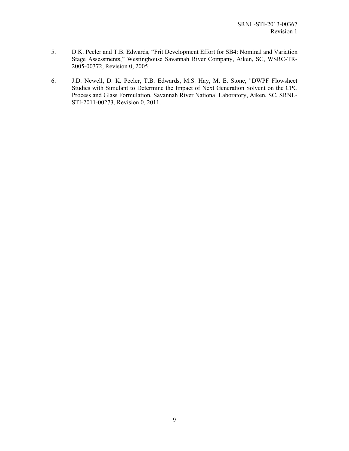- 5. D.K. Peeler and T.B. Edwards, "Frit Development Effort for SB4: Nominal and Variation Stage Assessments," Westinghouse Savannah River Company, Aiken, SC, WSRC-TR-2005-00372, Revision 0, 2005.
- 6. J.D. Newell, D. K. Peeler, T.B. Edwards, M.S. Hay, M. E. Stone, "DWPF Flowsheet Studies with Simulant to Determine the Impact of Next Generation Solvent on the CPC Process and Glass Formulation, Savannah River National Laboratory, Aiken, SC, SRNL-STI-2011-00273, Revision 0, 2011.